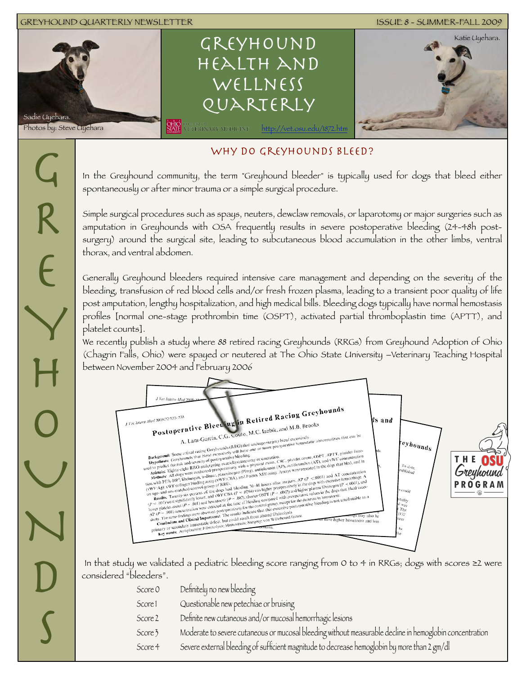

## WHY DO GREYHOUNDS BLEED?

In the Greyhound community, the term "Greyhound bleeder" is typically used for dogs that bleed either spontaneously or after minor trauma or a simple surgical procedure.

Simple surgical procedures such as spays, neuters, dewclaw removals, or laparotomy or major surgeries such as amputation in Greyhounds with OSA frequently results in severe postoperative bleeding (24-48h postsurgery) around the surgical site, leading to subcutaneous blood accumulation in the other limbs, ventral thorax, and ventral abdomen.

Generally Greyhound bleeders required intensive care management and depending on the severity of the bleeding, transfusion of red blood cells and/or fresh frozen plasma, leading to a transient poor quality of life post amputation, lengthy hospitalization, and high medical bills. Bleeding dogs typically have normal hemostasis profiles [normal one-stage prothrombin time (OSPT), activated partial thromboplastin time (APTT), and platelet counts].

We recently publish a study where 88 retired racing Greyhounds (RRGs) from Greyhound Adoption of Ohio (Chagrin Falls, Ohio) were spayed or neutered at The Ohio State University –Veterinary Teaching Hospital between November 2004 and February 2006



 In that study we validated a pediatric bleeding score ranging from 0 to 4 in RRGs; dogs with scores ≥2 were considered "bleeders".

- Score 0 Definitely no new bleeding
- Score 1 Questionable new petechiae or bruising
- Score 2 Definite new cutaneous and/or mucosal hemorrhagic lesions
- Score 3 Moderate to severe cutaneous or mucosal bleeding without measurable decline in hemoglobin concentration
- Score 4 Severe external bleeding of sufficient magnitude to decrease hemoglobin by more than 2 gm/dl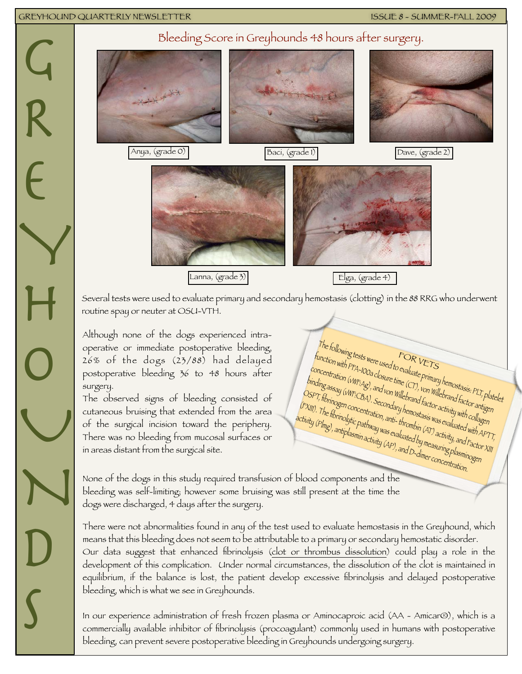G

R

E

Y

H

O

U

N

D

S







Dave, (grade 2)



Several tests were used to evaluate primary and secondary hemostasis (clotting) in the 88 RRG who underwent routine spay or neuter at OSU-VTH.

Although none of the dogs experienced intraoperative or immediate postoperative bleeding, 26% of the dogs (23/88) had delayed postoperative bleeding 36 to 48 hours after surgery.

The observed signs of bleeding consisted of cutaneous bruising that extended from the area of the surgical incision toward the periphery. There was no bleeding from mucosal surfaces or in areas distant from the surgical site.

FOR VETS The following tests were used to evaluate primary hemostasis:<br>Prentration (vWF:Ag), and von Willete primary hemostasis: PLT, platelet<br>ling assay (vWF:Ag), and von Willebrand for Willebrand factors.<br>T, fibring function with PFA-100a closure time (CT), von Willebrand factor antigen concentration (www.ag), and von Willebrand factor activity with collagen binding assay (www.cBA). Secondary hemostasis was evaluated with APTT, OSPT, fibrinogen concentration, anti- thrombin (AT) activity, and Factor XIII (FXIII). The fibrinolytic pathway was evaluated by measuring plasminogen activity (Plmg), antiplasmin activity (AP), and D-dimer concentration.

None of the dogs in this study required transfusion of blood components and the bleeding was self-limiting; however some bruising was still present at the time the dogs were discharged, 4 days after the surgery.

There were not abnormalities found in any of the test used to evaluate hemostasis in the Greyhound, which means that this bleeding does not seem to be attributable to a primary or secondary hemostatic disorder. Our data suggest that enhanced fibrinolysis (clot or thrombus dissolution) could play a role in the development of this complication. Under normal circumstances, the dissolution of the clot is maintained in equilibrium, if the balance is lost, the patient develop excessive fibrinolysis and delayed postoperative bleeding, which is what we see in Greyhounds.

In our experience administration of fresh frozen plasma or Aminocaproic acid (AA - Amicar®), which is a commercially available inhibitor of fibrinolysis (procoagulant) commonly used in humans with postoperative bleeding, can prevent severe postoperative bleeding in Greyhounds undergoing surgery.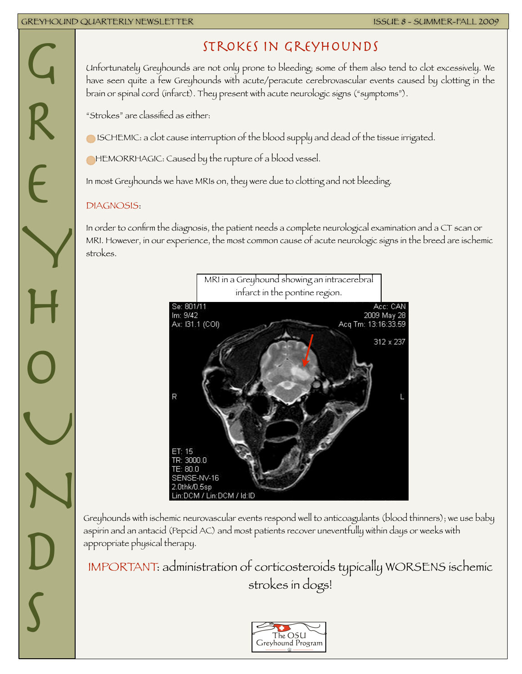## StrokeS in Greyhounds

Unfortunately Greyhounds are not only prone to bleeding; some of them also tend to clot excessively. We have seen quite a few Greyhounds with acute/peracute cerebrovascular events caused by clotting in the brain or spinal cord (infarct). They present with acute neurologic signs ("symptoms").

"Strokes" are classified as either:

ISCHEMIC: a clot cause interruption of the blood supply and dead of the tissue irrigated.

HEMORRHAGIC: Caused by the rupture of a blood vessel.

In most Greyhounds we have MRIs on, they were due to clotting and not bleeding.

### DIAGNOSIS:

In order to confirm the diagnosis, the patient needs a complete neurological examination and a CT scan or MRI. However, in our experience, the most common cause of acute neurologic signs in the breed are ischemic strokes.



Greyhounds with ischemic neurovascular events respond well to anticoagulants (blood thinners); we use baby aspirin and an antacid (Pepcid AC) and most patients recover uneventfully within days or weeks with appropriate physical therapy.

IMPORTANT: administration of corticosteroids typically WORSENS ischemic strokes in dogs!